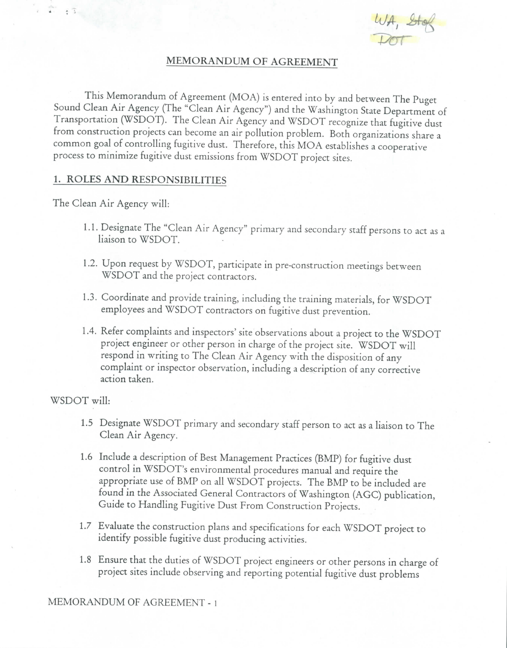$\frac{LVA}{D}$ 

## **MEMORANDUM OF AGREEMENT**

This Memorandum of Agreement (MOA) is entered into by and between The Puget Sound Clean Air Agency (The "Clean Air Agency") and the Washington State Department of Transportation (WSDOT). The Clean Air Agency and WSDOT recognize that fugitive dust from construction projects can become an air pollution problem. Both organizations share a common goal of controlling fugitive dust. Therefore, this MOA establishes a cooperative process to minimize fugitive dust emissions from WSDOT project sites.

#### **1. ROLES AND RESPONSIBILITIES**

The Clean Air Agency will:

 $\begin{array}{c} \begin{array}{c} \uparrow \\ \downarrow \end{array} & \begin{array}{c} \uparrow \\ \downarrow \end{array} & \begin{array}{c} \uparrow \\ \downarrow \end{array} & \begin{array}{c} \downarrow \\ \downarrow \end{array} & \begin{array}{c} \downarrow \\ \downarrow \end{array} & \begin{array}{c} \downarrow \\ \downarrow \end{array} & \begin{array}{c} \downarrow \\ \downarrow \end{array} & \begin{array}{c} \downarrow \\ \downarrow \end{array} & \begin{array}{c} \downarrow \\ \downarrow \end{array} & \begin{array}{c} \downarrow \\ \downarrow \end{array} & \begin{array}{c} \downarrow \\ \down$ 

- 1.1. Designate The "Clean Air Agency" primary and secondary staff persons to act as a liaison to WSDOT.
- 1.2. Upon request by WSDOT, participate in pre-construction meetings between WSDOT and the project contractors.
- 1.3. Coordinate and provide training, including the training materials, for WSDOT employees and WSDOT contractors on fugitive dust prevention.
- 1.4. Refer complaints and inspectors' site observations about a project to the WSDOT project engineer or other person in charge of the project site. WSDOT will respond in writing to The Clean Air Agency with the disposition of any complaint or inspector observation, including a description of any corrective action taken.

WSDOT will:

- 1.5 Designate WSDOT primary and secondary staff person to act as a liaison to The Clean Air Agency.
- 1.6 Include a description of Best Management Practices (BMP) for fugitive dust control in WSDOT's environmental procedures manual and require the appropriate use of BMP on all WSDOT projects. The BMP to be included are found in the Associated General Contractors of Washington (AGC) publication, Guide to Handling Fugitive Dust From Construction Projects.
- 1.7 Evaluate the construction plans and specifications for each WSDOT project to identify possible fugitive dust producing activities.
- 1.8 Ensure that the duties of WSDOT project engineers or other persons in charge of project sites include observing and reporting potential fugitive dust problems

MEMORANDUM OF AGREEMENT - 1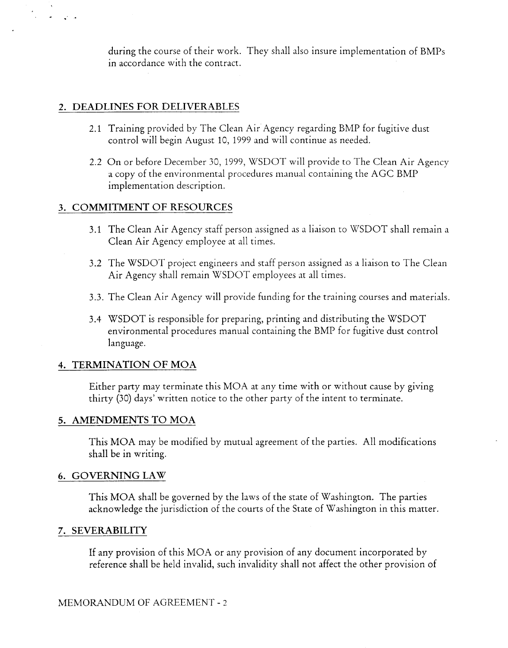during the course of their work. They shall also insure implementation of BMPs in accordance with the contract.

## **2. DEADLINES FOR DELIVERABLES**

ماراتها المنفرد

- 2.1 Training provided by The Clean Air Agency regarding BMP for fugitive dust control will begin August 10, 1999 and will continue as needed.
- 2.2 On or before December 30, 1999, WSDOT will provide to The Clean Air Agency a copy of the environmental procedures manual containing the AGC BMP implementation description.

### **3. COMMITMENT OF RESOURCES**

- 3.1 The Clean Air Agency staff person assigned as a liaison to WSDOT shall remain a Clean Air Agency employee at all times.
- 3.2 The WSDOT project engineers and staff person assigned as a liaison to The Clean Air Agency shall remain WSDOT employees at all times.
- 3.3. The Clean Air Agency will provide funding for the training courses and materials.
- 3.4 WSDOT is responsible for preparing, printing and distributing the WSDOT environmental procedures manual containing the BMP for fugitive dust control language.

#### **4. TERMINATION OF MOA**

Either party may terminate this MOA at any time with or without cause by giving thirty (30) days' written notice to the other party of the intent to terminate.

#### **5. AMENDMENTS TO MOA**

This MOA may be modified by mutual agreement of the parties. All modifications shall be in writing.

#### **6. GOVERNING LAW**

This MOA shall be governed by the laws of the state of Washington. The parties acknowledge the jurisdiction of the courts of the State of Washington in this matter.

# **7. SEVERABILITY**

If any provision of this MOA or any provision of any document incorporated by reference shall be held invalid, such invalidity shall not affect the other provision of

# MEMORANDUM OF AGREEMENT - 2